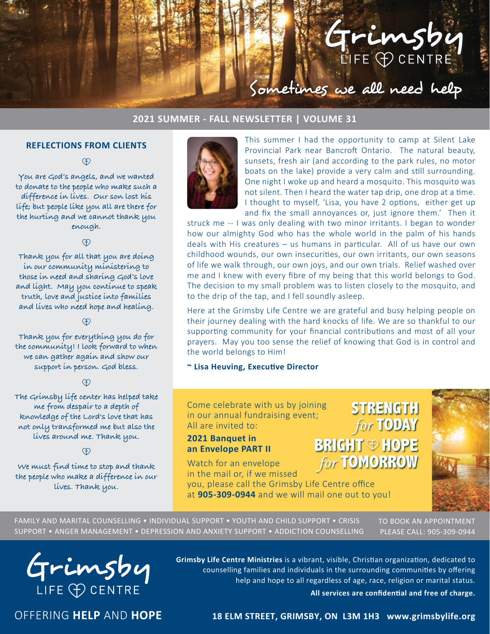

### **2021 SUMMER - FALL NEWSLETTER | VOLUME 31**

### **REFLECTIONS FROM CLIENTS**

<sup>O</sup>

**You are God's angels, and we wanted to donate to the people who make such a difference in lives. Our son lost his life; but people like you all are there for the hurting and we cannot thank you enough.**

<sup>O</sup>

**Thank you for all that you are doing in our community ministering to those in need and sharing God's love and light. May you continue to speak truth, love and justice into families and lives who need hope and healing.**

**Thank you for everything you do for the community! I look forward to when we can gather again and show our support in person. God bless.**

**The Grimsby life center has helped take me from despair to a depth of knowledge of the Lord's love that has not only transformed me but also the lives around me. Thank you.**

**We must find time to stop and thank the people who make a difference in our lives. Thank you.**



This summer I had the opportunity to camp at Silent Lake Provincial Park near Bancroft Ontario. The natural beauty, sunsets, fresh air (and according to the park rules, no motor boats on the lake) provide a very calm and still surrounding. One night I woke up and heard a mosquito. This mosquito was not silent. Then I heard the water tap drip, one drop at a time. I thought to myself, 'Lisa, you have 2 options, either get up and fix the small annoyances or, just ignore them.' Then it

struck me -- I was only dealing with two minor irritants. I began to wonder how our almighty God who has the whole world in the palm of his hands deals with His creatures – us humans in particular. All of us have our own childhood wounds, our own insecurities, our own irritants, our own seasons of life we walk through, our own joys, and our own trials. Relief washed over me and I knew with every fibre of my being that this world belongs to God. The decision to my small problem was to listen closely to the mosquito, and to the drip of the tap, and I fell soundly asleep.

Here at the Grimsby Life Centre we are grateful and busy helping people on their journey dealing with the hard knocks of life. We are so thankful to our supporting community for your financial contributions and most of all your prayers. May you too sense the relief of knowing that God is in control and the world belongs to Him!

**~ Lisa Heuving, Executive Director**

Come celebrate with us by joining in our annual fundraising event; All are invited to:

### **2021 Banquet in an Envelope PART II**

Watch for an envelope in the mail or, if we missed

you, please call the Grimsby Life Centre office at **905-309-0944** and we will mail one out to you!





FAMILY AND MARITAL COUNSELLING • INDIVIDUAL SUPPORT • YOUTH AND CHILD SUPPORT • CRISIS SUPPORT • ANGER MANAGEMENT • DEPRESSION AND ANXIETY SUPPORT • ADDICTION COUNSELLING

TO BOOK AN APPOINTMENT PLEASE CALL: 905-309-0944



**Grimsby Life Centre Ministries** is a vibrant, visible, Christian organization, dedicated to counselling families and individuals in the surrounding communities by offering help and hope to all regardless of age, race, religion or marital status.

**All services are confidential and free of charge.**

OFFERING **HELP** AND **HOPE**

**18 ELM STREET, GRIMSBY, ON L3M 1H3 www.grimsbylife.org**